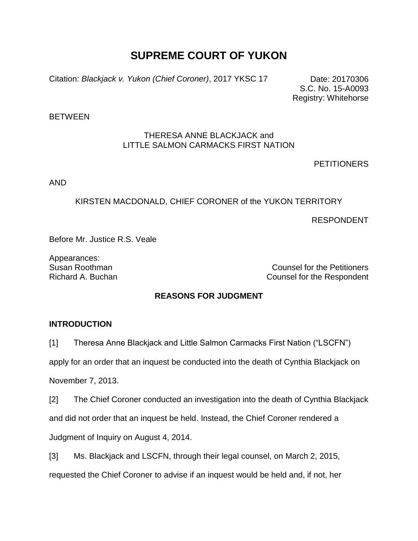# **SUPREME COURT OF YUKON**

Citation: *Blackjack v. Yukon (Chief Coroner)*, 2017 YKSC 17 Date: 20170306

S.C. No. 15-A0093 Registry: Whitehorse

**BETWEEN** 

## THERESA ANNE BLACKJACK and LITTLE SALMON CARMACKS FIRST NATION

**PETITIONERS** 

AND

## KIRSTEN MACDONALD, CHIEF CORONER of the YUKON TERRITORY

RESPONDENT

Before Mr. Justice R.S. Veale

Appearances:

Susan Roothman Counsel for the Petitioners Richard A. Buchan Counsel for the Respondent

## **REASONS FOR JUDGMENT**

## **INTRODUCTION**

[1] Theresa Anne Blackjack and Little Salmon Carmacks First Nation ("LSCFN")

apply for an order that an inquest be conducted into the death of Cynthia Blackjack on

November 7, 2013.

[2] The Chief Coroner conducted an investigation into the death of Cynthia Blackjack

and did not order that an inquest be held. Instead, the Chief Coroner rendered a

Judgment of Inquiry on August 4, 2014.

[3] Ms. Blackjack and LSCFN, through their legal counsel, on March 2, 2015,

requested the Chief Coroner to advise if an inquest would be held and, if not, her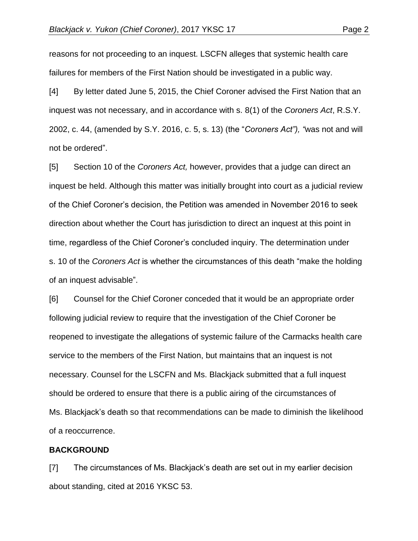reasons for not proceeding to an inquest. LSCFN alleges that systemic health care failures for members of the First Nation should be investigated in a public way.

[4] By letter dated June 5, 2015, the Chief Coroner advised the First Nation that an inquest was not necessary, and in accordance with s. 8(1) of the *Coroners Act*, R.S.Y. 2002, c. 44, (amended by S.Y. 2016, c. 5, s. 13) (the "*Coroners Act"), "*was not and will not be ordered".

[5] Section 10 of the *Coroners Act,* however, provides that a judge can direct an inquest be held. Although this matter was initially brought into court as a judicial review of the Chief Coroner's decision, the Petition was amended in November 2016 to seek direction about whether the Court has jurisdiction to direct an inquest at this point in time, regardless of the Chief Coroner's concluded inquiry. The determination under s. 10 of the *Coroners Act* is whether the circumstances of this death "make the holding of an inquest advisable".

[6] Counsel for the Chief Coroner conceded that it would be an appropriate order following judicial review to require that the investigation of the Chief Coroner be reopened to investigate the allegations of systemic failure of the Carmacks health care service to the members of the First Nation, but maintains that an inquest is not necessary. Counsel for the LSCFN and Ms. Blackjack submitted that a full inquest should be ordered to ensure that there is a public airing of the circumstances of Ms. Blackjack's death so that recommendations can be made to diminish the likelihood of a reoccurrence.

#### **BACKGROUND**

[7] The circumstances of Ms. Blackjack's death are set out in my earlier decision about standing, cited at 2016 YKSC 53.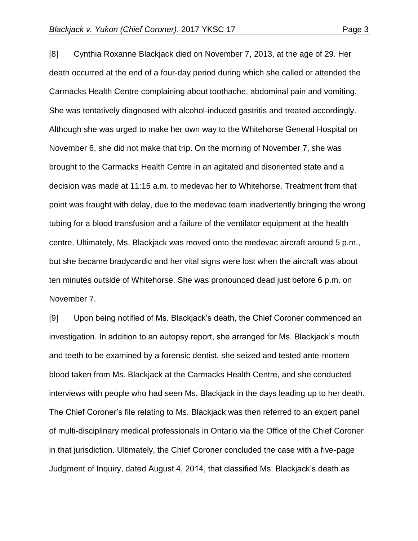[8] Cynthia Roxanne Blackjack died on November 7, 2013, at the age of 29. Her death occurred at the end of a four-day period during which she called or attended the Carmacks Health Centre complaining about toothache, abdominal pain and vomiting. She was tentatively diagnosed with alcohol-induced gastritis and treated accordingly. Although she was urged to make her own way to the Whitehorse General Hospital on November 6, she did not make that trip. On the morning of November 7, she was brought to the Carmacks Health Centre in an agitated and disoriented state and a decision was made at 11:15 a.m. to medevac her to Whitehorse. Treatment from that point was fraught with delay, due to the medevac team inadvertently bringing the wrong tubing for a blood transfusion and a failure of the ventilator equipment at the health centre. Ultimately, Ms. Blackjack was moved onto the medevac aircraft around 5 p.m., but she became bradycardic and her vital signs were lost when the aircraft was about ten minutes outside of Whitehorse. She was pronounced dead just before 6 p.m. on November 7.

[9] Upon being notified of Ms. Blackjack's death, the Chief Coroner commenced an investigation. In addition to an autopsy report, she arranged for Ms. Blackjack's mouth and teeth to be examined by a forensic dentist, she seized and tested ante-mortem blood taken from Ms. Blackjack at the Carmacks Health Centre, and she conducted interviews with people who had seen Ms. Blackjack in the days leading up to her death. The Chief Coroner's file relating to Ms. Blackjack was then referred to an expert panel of multi-disciplinary medical professionals in Ontario via the Office of the Chief Coroner in that jurisdiction. Ultimately, the Chief Coroner concluded the case with a five-page Judgment of Inquiry, dated August 4, 2014, that classified Ms. Blackjack's death as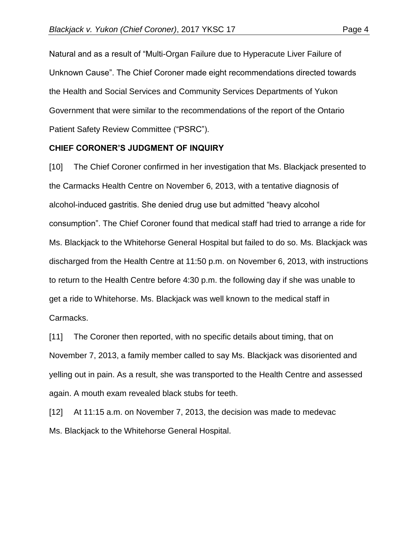Natural and as a result of "Multi-Organ Failure due to Hyperacute Liver Failure of Unknown Cause". The Chief Coroner made eight recommendations directed towards the Health and Social Services and Community Services Departments of Yukon Government that were similar to the recommendations of the report of the Ontario Patient Safety Review Committee ("PSRC").

#### **CHIEF CORONER'S JUDGMENT OF INQUIRY**

[10] The Chief Coroner confirmed in her investigation that Ms. Blackjack presented to the Carmacks Health Centre on November 6, 2013, with a tentative diagnosis of alcohol-induced gastritis. She denied drug use but admitted "heavy alcohol consumption". The Chief Coroner found that medical staff had tried to arrange a ride for Ms. Blackjack to the Whitehorse General Hospital but failed to do so. Ms. Blackjack was discharged from the Health Centre at 11:50 p.m. on November 6, 2013, with instructions to return to the Health Centre before 4:30 p.m. the following day if she was unable to get a ride to Whitehorse. Ms. Blackjack was well known to the medical staff in Carmacks.

[11] The Coroner then reported, with no specific details about timing, that on November 7, 2013, a family member called to say Ms. Blackjack was disoriented and yelling out in pain. As a result, she was transported to the Health Centre and assessed again. A mouth exam revealed black stubs for teeth.

[12] At 11:15 a.m. on November 7, 2013, the decision was made to medevac Ms. Blackjack to the Whitehorse General Hospital.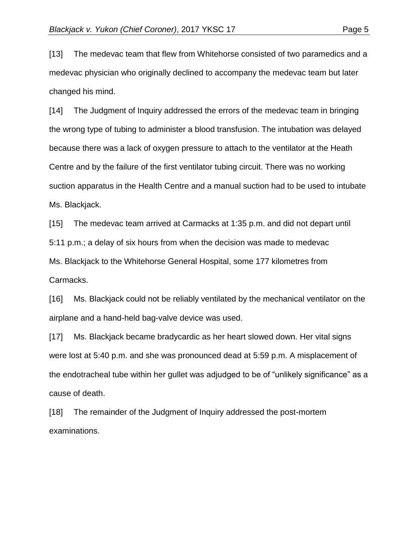[13] The medevac team that flew from Whitehorse consisted of two paramedics and a medevac physician who originally declined to accompany the medevac team but later changed his mind.

[14] The Judgment of Inquiry addressed the errors of the medevac team in bringing the wrong type of tubing to administer a blood transfusion. The intubation was delayed because there was a lack of oxygen pressure to attach to the ventilator at the Heath Centre and by the failure of the first ventilator tubing circuit. There was no working suction apparatus in the Health Centre and a manual suction had to be used to intubate Ms. Blackjack.

[15] The medevac team arrived at Carmacks at 1:35 p.m. and did not depart until 5:11 p.m.; a delay of six hours from when the decision was made to medevac Ms. Blackjack to the Whitehorse General Hospital, some 177 kilometres from Carmacks.

[16] Ms. Blackjack could not be reliably ventilated by the mechanical ventilator on the airplane and a hand-held bag-valve device was used.

[17] Ms. Blackjack became bradycardic as her heart slowed down. Her vital signs were lost at 5:40 p.m. and she was pronounced dead at 5:59 p.m. A misplacement of the endotracheal tube within her gullet was adjudged to be of "unlikely significance" as a cause of death.

[18] The remainder of the Judgment of Inquiry addressed the post-mortem examinations.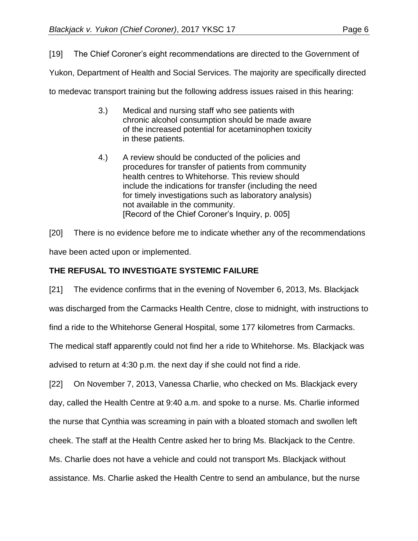[19] The Chief Coroner's eight recommendations are directed to the Government of

Yukon, Department of Health and Social Services. The majority are specifically directed

to medevac transport training but the following address issues raised in this hearing:

- 3.) Medical and nursing staff who see patients with chronic alcohol consumption should be made aware of the increased potential for acetaminophen toxicity in these patients.
- 4.) A review should be conducted of the policies and procedures for transfer of patients from community health centres to Whitehorse. This review should include the indications for transfer (including the need for timely investigations such as laboratory analysis) not available in the community. [Record of the Chief Coroner's Inquiry, p. 005]

[20] There is no evidence before me to indicate whether any of the recommendations have been acted upon or implemented.

## **THE REFUSAL TO INVESTIGATE SYSTEMIC FAILURE**

[21] The evidence confirms that in the evening of November 6, 2013, Ms. Blackjack

was discharged from the Carmacks Health Centre, close to midnight, with instructions to

find a ride to the Whitehorse General Hospital, some 177 kilometres from Carmacks.

The medical staff apparently could not find her a ride to Whitehorse. Ms. Blackjack was advised to return at 4:30 p.m. the next day if she could not find a ride.

[22] On November 7, 2013, Vanessa Charlie, who checked on Ms. Blackjack every day, called the Health Centre at 9:40 a.m. and spoke to a nurse. Ms. Charlie informed the nurse that Cynthia was screaming in pain with a bloated stomach and swollen left cheek. The staff at the Health Centre asked her to bring Ms. Blackjack to the Centre. Ms. Charlie does not have a vehicle and could not transport Ms. Blackjack without

assistance. Ms. Charlie asked the Health Centre to send an ambulance, but the nurse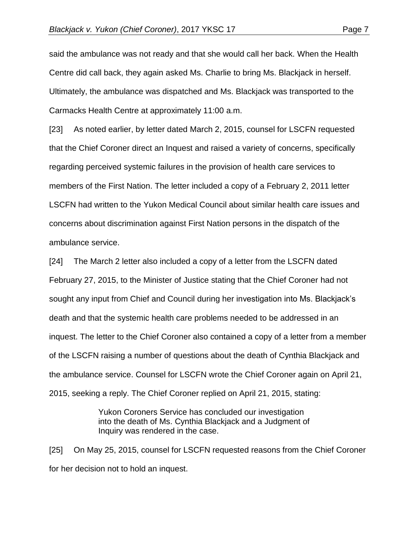said the ambulance was not ready and that she would call her back. When the Health Centre did call back, they again asked Ms. Charlie to bring Ms. Blackjack in herself. Ultimately, the ambulance was dispatched and Ms. Blackjack was transported to the Carmacks Health Centre at approximately 11:00 a.m.

[23] As noted earlier, by letter dated March 2, 2015, counsel for LSCFN requested that the Chief Coroner direct an Inquest and raised a variety of concerns, specifically regarding perceived systemic failures in the provision of health care services to members of the First Nation. The letter included a copy of a February 2, 2011 letter LSCFN had written to the Yukon Medical Council about similar health care issues and concerns about discrimination against First Nation persons in the dispatch of the ambulance service.

[24] The March 2 letter also included a copy of a letter from the LSCFN dated February 27, 2015, to the Minister of Justice stating that the Chief Coroner had not sought any input from Chief and Council during her investigation into Ms. Blackjack's death and that the systemic health care problems needed to be addressed in an inquest. The letter to the Chief Coroner also contained a copy of a letter from a member of the LSCFN raising a number of questions about the death of Cynthia Blackjack and the ambulance service. Counsel for LSCFN wrote the Chief Coroner again on April 21, 2015, seeking a reply. The Chief Coroner replied on April 21, 2015, stating:

> Yukon Coroners Service has concluded our investigation into the death of Ms. Cynthia Blackjack and a Judgment of Inquiry was rendered in the case.

[25] On May 25, 2015, counsel for LSCFN requested reasons from the Chief Coroner for her decision not to hold an inquest.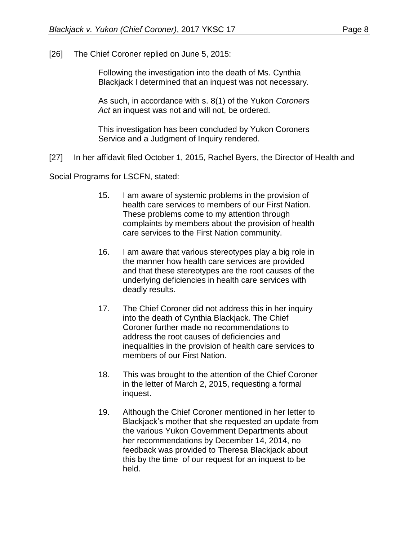[26] The Chief Coroner replied on June 5, 2015:

Following the investigation into the death of Ms. Cynthia Blackjack I determined that an inquest was not necessary.

As such, in accordance with s. 8(1) of the Yukon *Coroners Act* an inquest was not and will not, be ordered.

This investigation has been concluded by Yukon Coroners Service and a Judgment of Inquiry rendered.

[27] In her affidavit filed October 1, 2015, Rachel Byers, the Director of Health and

Social Programs for LSCFN, stated:

- 15. I am aware of systemic problems in the provision of health care services to members of our First Nation. These problems come to my attention through complaints by members about the provision of health care services to the First Nation community.
- 16. I am aware that various stereotypes play a big role in the manner how health care services are provided and that these stereotypes are the root causes of the underlying deficiencies in health care services with deadly results.
- 17. The Chief Coroner did not address this in her inquiry into the death of Cynthia Blackjack. The Chief Coroner further made no recommendations to address the root causes of deficiencies and inequalities in the provision of health care services to members of our First Nation.
- 18. This was brought to the attention of the Chief Coroner in the letter of March 2, 2015, requesting a formal inquest.
- 19. Although the Chief Coroner mentioned in her letter to Blackjack's mother that she requested an update from the various Yukon Government Departments about her recommendations by December 14, 2014, no feedback was provided to Theresa Blackjack about this by the time of our request for an inquest to be held.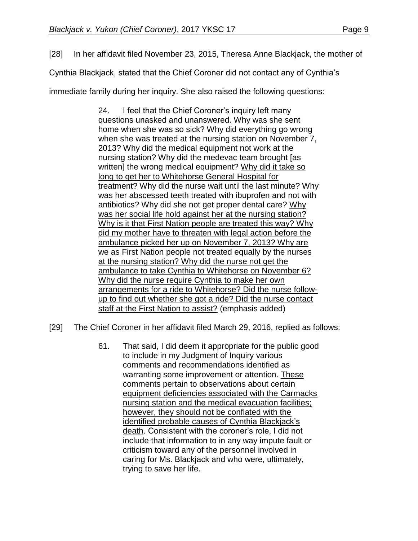[28] In her affidavit filed November 23, 2015, Theresa Anne Blackjack, the mother of

Cynthia Blackjack, stated that the Chief Coroner did not contact any of Cynthia's

immediate family during her inquiry. She also raised the following questions:

24. I feel that the Chief Coroner's inquiry left many questions unasked and unanswered. Why was she sent home when she was so sick? Why did everything go wrong when she was treated at the nursing station on November 7, 2013? Why did the medical equipment not work at the nursing station? Why did the medevac team brought [as written] the wrong medical equipment? Why did it take so long to get her to Whitehorse General Hospital for treatment? Why did the nurse wait until the last minute? Why was her abscessed teeth treated with ibuprofen and not with antibiotics? Why did she not get proper dental care? Why was her social life hold against her at the nursing station? Why is it that First Nation people are treated this way? Why did my mother have to threaten with legal action before the ambulance picked her up on November 7, 2013? Why are we as First Nation people not treated equally by the nurses at the nursing station? Why did the nurse not get the ambulance to take Cynthia to Whitehorse on November 6? Why did the nurse require Cynthia to make her own arrangements for a ride to Whitehorse? Did the nurse followup to find out whether she got a ride? Did the nurse contact staff at the First Nation to assist? (emphasis added)

- [29] The Chief Coroner in her affidavit filed March 29, 2016, replied as follows:
	- 61. That said, I did deem it appropriate for the public good to include in my Judgment of Inquiry various comments and recommendations identified as warranting some improvement or attention. These comments pertain to observations about certain equipment deficiencies associated with the Carmacks nursing station and the medical evacuation facilities; however, they should not be conflated with the identified probable causes of Cynthia Blackjack's death. Consistent with the coroner's role, I did not include that information to in any way impute fault or criticism toward any of the personnel involved in caring for Ms. Blackjack and who were, ultimately, trying to save her life.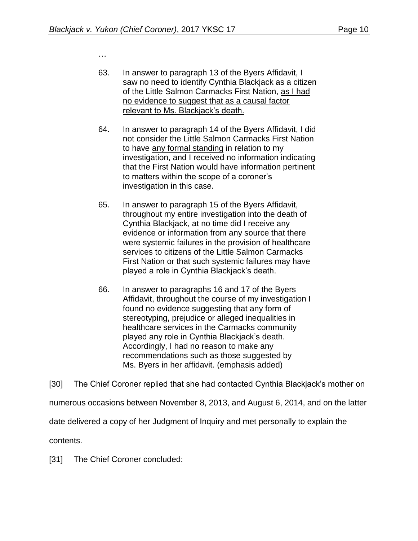…

- 63. In answer to paragraph 13 of the Byers Affidavit, I saw no need to identify Cynthia Blackjack as a citizen of the Little Salmon Carmacks First Nation, as I had no evidence to suggest that as a causal factor relevant to Ms. Blackjack's death.
- 64. In answer to paragraph 14 of the Byers Affidavit, I did not consider the Little Salmon Carmacks First Nation to have any formal standing in relation to my investigation, and I received no information indicating that the First Nation would have information pertinent to matters within the scope of a coroner's investigation in this case.
- 65. In answer to paragraph 15 of the Byers Affidavit, throughout my entire investigation into the death of Cynthia Blackjack, at no time did I receive any evidence or information from any source that there were systemic failures in the provision of healthcare services to citizens of the Little Salmon Carmacks First Nation or that such systemic failures may have played a role in Cynthia Blackjack's death.
- 66. In answer to paragraphs 16 and 17 of the Byers Affidavit, throughout the course of my investigation I found no evidence suggesting that any form of stereotyping, prejudice or alleged inequalities in healthcare services in the Carmacks community played any role in Cynthia Blackjack's death. Accordingly, I had no reason to make any recommendations such as those suggested by Ms. Byers in her affidavit. (emphasis added)

[30] The Chief Coroner replied that she had contacted Cynthia Blackjack's mother on numerous occasions between November 8, 2013, and August 6, 2014, and on the latter date delivered a copy of her Judgment of Inquiry and met personally to explain the contents.

[31] The Chief Coroner concluded: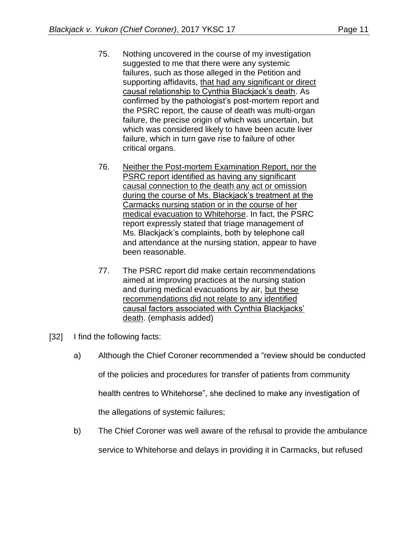- 75. Nothing uncovered in the course of my investigation suggested to me that there were any systemic failures, such as those alleged in the Petition and supporting affidavits, that had any significant or direct causal relationship to Cynthia Blackjack's death. As confirmed by the pathologist's post-mortem report and the PSRC report, the cause of death was multi-organ failure, the precise origin of which was uncertain, but which was considered likely to have been acute liver failure, which in turn gave rise to failure of other critical organs.
- 76. Neither the Post-mortem Examination Report, nor the PSRC report identified as having any significant causal connection to the death any act or omission during the course of Ms. Blackjack's treatment at the Carmacks nursing station or in the course of her medical evacuation to Whitehorse. In fact, the PSRC report expressly stated that triage management of Ms. Blackjack's complaints, both by telephone call and attendance at the nursing station, appear to have been reasonable.
- 77. The PSRC report did make certain recommendations aimed at improving practices at the nursing station and during medical evacuations by air, but these recommendations did not relate to any identified causal factors associated with Cynthia Blackjacks' death. (emphasis added)
- [32] I find the following facts:
	- a) Although the Chief Coroner recommended a "review should be conducted

of the policies and procedures for transfer of patients from community

health centres to Whitehorse", she declined to make any investigation of

the allegations of systemic failures;

b) The Chief Coroner was well aware of the refusal to provide the ambulance

service to Whitehorse and delays in providing it in Carmacks, but refused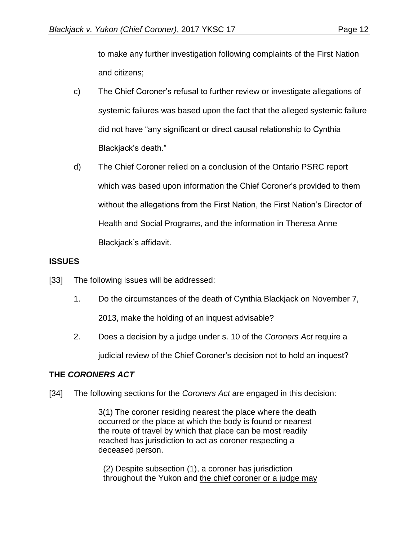to make any further investigation following complaints of the First Nation and citizens;

- c) The Chief Coroner's refusal to further review or investigate allegations of systemic failures was based upon the fact that the alleged systemic failure did not have "any significant or direct causal relationship to Cynthia Blackjack's death."
- d) The Chief Coroner relied on a conclusion of the Ontario PSRC report which was based upon information the Chief Coroner's provided to them without the allegations from the First Nation, the First Nation's Director of Health and Social Programs, and the information in Theresa Anne Blackjack's affidavit.

## **ISSUES**

- [33] The following issues will be addressed:
	- 1. Do the circumstances of the death of Cynthia Blackjack on November 7, 2013, make the holding of an inquest advisable?
	- 2. Does a decision by a judge under s. 10 of the *Coroners Act* require a judicial review of the Chief Coroner's decision not to hold an inquest?

### **THE** *CORONERS ACT*

[34] The following sections for the *Coroners Act* are engaged in this decision:

3(1) The coroner residing nearest the place where the death occurred or the place at which the body is found or nearest the route of travel by which that place can be most readily reached has jurisdiction to act as coroner respecting a deceased person.

(2) Despite subsection (1), a coroner has jurisdiction throughout the Yukon and the chief coroner or a judge may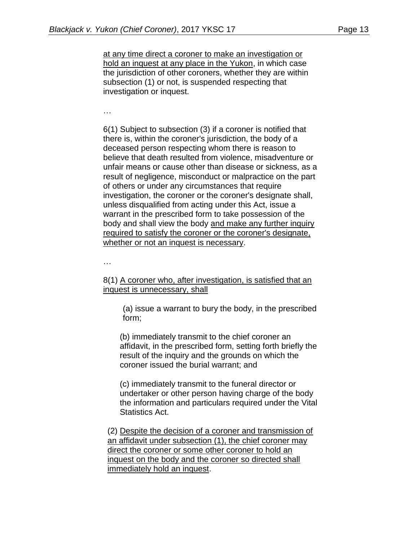at any time direct a coroner to make an investigation or hold an inquest at any place in the Yukon, in which case the jurisdiction of other coroners, whether they are within subsection (1) or not, is suspended respecting that investigation or inquest.

…

6(1) Subject to subsection (3) if a coroner is notified that there is, within the coroner's jurisdiction, the body of a deceased person respecting whom there is reason to believe that death resulted from violence, misadventure or unfair means or cause other than disease or sickness, as a result of negligence, misconduct or malpractice on the part of others or under any circumstances that require investigation, the coroner or the coroner's designate shall, unless disqualified from acting under this Act, issue a warrant in the prescribed form to take possession of the body and shall view the body and make any further inquiry required to satisfy the coroner or the coroner's designate, whether or not an inquest is necessary.

…

8(1) A coroner who, after investigation, is satisfied that an inquest is unnecessary, shall

(a) issue a warrant to bury the body, in the prescribed form;

(b) immediately transmit to the chief coroner an affidavit, in the prescribed form, setting forth briefly the result of the inquiry and the grounds on which the coroner issued the burial warrant; and

(c) immediately transmit to the funeral director or undertaker or other person having charge of the body the information and particulars required under the Vital Statistics Act.

(2) Despite the decision of a coroner and transmission of an affidavit under subsection (1), the chief coroner may direct the coroner or some other coroner to hold an inquest on the body and the coroner so directed shall immediately hold an inquest.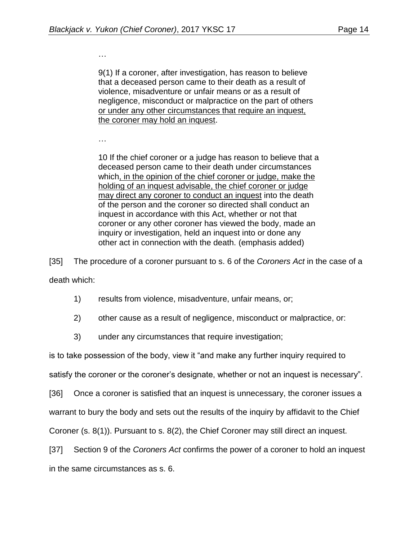…

9(1) If a coroner, after investigation, has reason to believe that a deceased person came to their death as a result of violence, misadventure or unfair means or as a result of negligence, misconduct or malpractice on the part of others or under any other circumstances that require an inquest, the coroner may hold an inquest.

…

10 If the chief coroner or a judge has reason to believe that a deceased person came to their death under circumstances which, in the opinion of the chief coroner or judge, make the holding of an inquest advisable, the chief coroner or judge may direct any coroner to conduct an inquest into the death of the person and the coroner so directed shall conduct an inquest in accordance with this Act, whether or not that coroner or any other coroner has viewed the body, made an inquiry or investigation, held an inquest into or done any other act in connection with the death. (emphasis added)

[35] The procedure of a coroner pursuant to s. 6 of the *Coroners Act* in the case of a death which:

- 1) results from violence, misadventure, unfair means, or;
- 2) other cause as a result of negligence, misconduct or malpractice, or:

3) under any circumstances that require investigation;

is to take possession of the body, view it "and make any further inquiry required to

satisfy the coroner or the coroner's designate, whether or not an inquest is necessary".

[36] Once a coroner is satisfied that an inquest is unnecessary, the coroner issues a

warrant to bury the body and sets out the results of the inquiry by affidavit to the Chief

Coroner (s. 8(1)). Pursuant to s. 8(2), the Chief Coroner may still direct an inquest.

[37] Section 9 of the *Coroners Act* confirms the power of a coroner to hold an inquest

in the same circumstances as s. 6.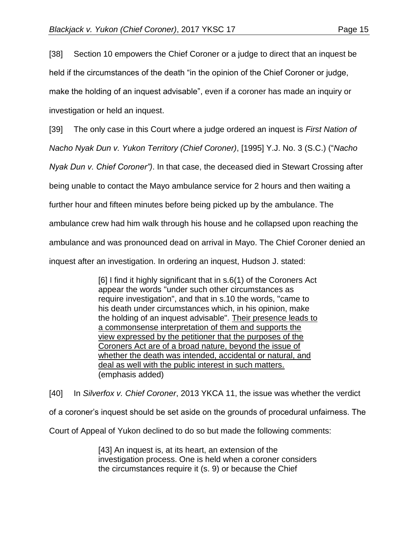[38] Section 10 empowers the Chief Coroner or a judge to direct that an inquest be held if the circumstances of the death "in the opinion of the Chief Coroner or judge, make the holding of an inquest advisable", even if a coroner has made an inquiry or investigation or held an inquest.

[39] The only case in this Court where a judge ordered an inquest is *First Nation of* 

*Nacho Nyak Dun v. Yukon Territory (Chief Coroner)*, [1995] Y.J. No. 3 (S.C.) ("*Nacho* 

*Nyak Dun v. Chief Coroner")*. In that case, the deceased died in Stewart Crossing after

being unable to contact the Mayo ambulance service for 2 hours and then waiting a

further hour and fifteen minutes before being picked up by the ambulance. The

ambulance crew had him walk through his house and he collapsed upon reaching the

ambulance and was pronounced dead on arrival in Mayo. The Chief Coroner denied an

inquest after an investigation. In ordering an inquest, Hudson J. stated:

[6] I find it highly significant that in s.6(1) of the Coroners Act appear the words "under such other circumstances as require investigation", and that in s.10 the words, "came to his death under circumstances which, in his opinion, make the holding of an inquest advisable". Their presence leads to a commonsense interpretation of them and supports the view expressed by the petitioner that the purposes of the Coroners Act are of a broad nature, beyond the issue of whether the death was intended, accidental or natural, and deal as well with the public interest in such matters. (emphasis added)

[40] In *Silverfox v. Chief Coroner*, 2013 YKCA 11, the issue was whether the verdict of a coroner's inquest should be set aside on the grounds of procedural unfairness. The Court of Appeal of Yukon declined to do so but made the following comments:

> [43] An inquest is, at its heart, an extension of the investigation process. One is held when a coroner considers the circumstances require it (s. 9) or because the Chief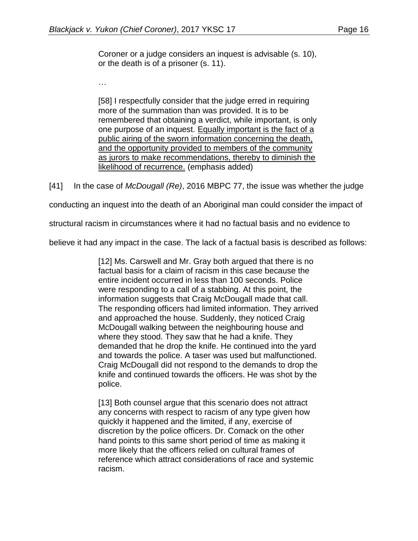Coroner or a judge considers an inquest is advisable (s. 10), or the death is of a prisoner (s. 11).

…

[58] I respectfully consider that the judge erred in requiring more of the summation than was provided. It is to be remembered that obtaining a verdict, while important, is only one purpose of an inquest. Equally important is the fact of a public airing of the sworn information concerning the death, and the opportunity provided to members of the community as jurors to make recommendations, thereby to diminish the likelihood of recurrence. (emphasis added)

[41] In the case of *McDougall (Re)*, 2016 MBPC 77, the issue was whether the judge

conducting an inquest into the death of an Aboriginal man could consider the impact of

structural racism in circumstances where it had no factual basis and no evidence to

believe it had any impact in the case. The lack of a factual basis is described as follows:

[12] Ms. Carswell and Mr. Gray both argued that there is no factual basis for a claim of racism in this case because the entire incident occurred in less than 100 seconds. Police were responding to a call of a stabbing. At this point, the information suggests that Craig McDougall made that call. The responding officers had limited information. They arrived and approached the house. Suddenly, they noticed Craig McDougall walking between the neighbouring house and where they stood. They saw that he had a knife. They demanded that he drop the knife. He continued into the yard and towards the police. A taser was used but malfunctioned. Craig McDougall did not respond to the demands to drop the knife and continued towards the officers. He was shot by the police.

[13] Both counsel argue that this scenario does not attract any concerns with respect to racism of any type given how quickly it happened and the limited, if any, exercise of discretion by the police officers. Dr. Comack on the other hand points to this same short period of time as making it more likely that the officers relied on cultural frames of reference which attract considerations of race and systemic racism.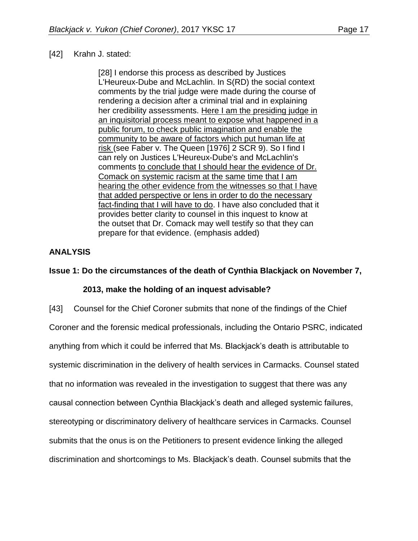## [42] Krahn J. stated:

[28] I endorse this process as described by Justices L'Heureux-Dube and McLachlin. In S(RD) the social context comments by the trial judge were made during the course of rendering a decision after a criminal trial and in explaining her credibility assessments. Here I am the presiding judge in an inquisitorial process meant to expose what happened in a public forum, to check public imagination and enable the community to be aware of factors which put human life at risk (see Faber v. The Queen [1976] 2 SCR 9). So I find I can rely on Justices L'Heureux-Dube's and McLachlin's comments to conclude that I should hear the evidence of Dr. Comack on systemic racism at the same time that I am hearing the other evidence from the witnesses so that I have that added perspective or lens in order to do the necessary fact-finding that I will have to do. I have also concluded that it provides better clarity to counsel in this inquest to know at the outset that Dr. Comack may well testify so that they can prepare for that evidence. (emphasis added)

## **ANALYSIS**

## **Issue 1: Do the circumstances of the death of Cynthia Blackjack on November 7,**

## **2013, make the holding of an inquest advisable?**

[43] Counsel for the Chief Coroner submits that none of the findings of the Chief Coroner and the forensic medical professionals, including the Ontario PSRC, indicated anything from which it could be inferred that Ms. Blackjack's death is attributable to systemic discrimination in the delivery of health services in Carmacks. Counsel stated that no information was revealed in the investigation to suggest that there was any causal connection between Cynthia Blackjack's death and alleged systemic failures, stereotyping or discriminatory delivery of healthcare services in Carmacks. Counsel submits that the onus is on the Petitioners to present evidence linking the alleged discrimination and shortcomings to Ms. Blackjack's death. Counsel submits that the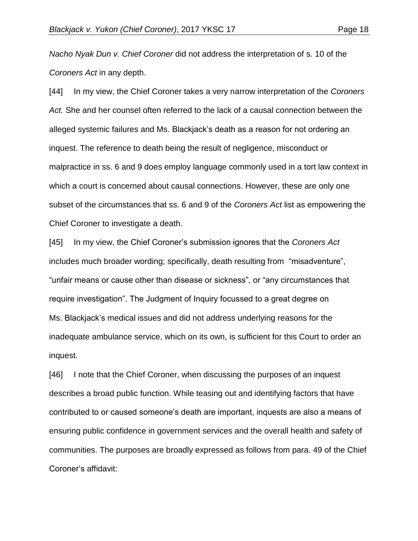*Nacho Nyak Dun v. Chief Coroner* did not address the interpretation of s. 10 of the *Coroners Act* in any depth.

[44] In my view, the Chief Coroner takes a very narrow interpretation of the *Coroners Act.* She and her counsel often referred to the lack of a causal connection between the alleged systemic failures and Ms. Blackjack's death as a reason for not ordering an inquest. The reference to death being the result of negligence, misconduct or malpractice in ss. 6 and 9 does employ language commonly used in a tort law context in which a court is concerned about causal connections. However, these are only one subset of the circumstances that ss. 6 and 9 of the *Coroners Act* list as empowering the Chief Coroner to investigate a death.

[45] In my view, the Chief Coroner's submission ignores that the *Coroners Act* includes much broader wording; specifically, death resulting from "misadventure", "unfair means or cause other than disease or sickness", or "any circumstances that require investigation". The Judgment of Inquiry focussed to a great degree on Ms. Blackjack's medical issues and did not address underlying reasons for the inadequate ambulance service, which on its own, is sufficient for this Court to order an inquest.

[46] I note that the Chief Coroner, when discussing the purposes of an inquest describes a broad public function. While teasing out and identifying factors that have contributed to or caused someone's death are important, inquests are also a means of ensuring public confidence in government services and the overall health and safety of communities. The purposes are broadly expressed as follows from para. 49 of the Chief Coroner's affidavit: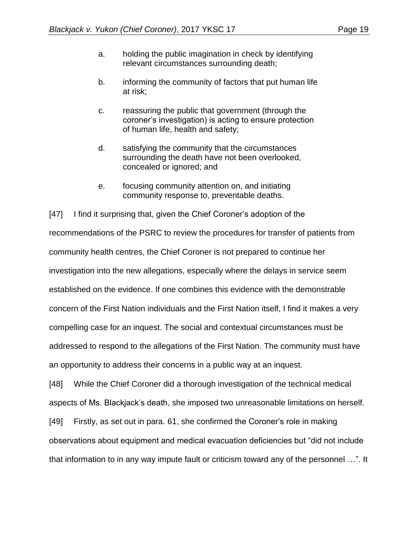- a. holding the public imagination in check by identifying relevant circumstances surrounding death;
- b. informing the community of factors that put human life at risk;
- c. reassuring the public that government (through the coroner's investigation) is acting to ensure protection of human life, health and safety;
- d. satisfying the community that the circumstances surrounding the death have not been overlooked, concealed or ignored; and
- e. focusing community attention on, and initiating community response to, preventable deaths.

[47] I find it surprising that, given the Chief Coroner's adoption of the recommendations of the PSRC to review the procedures for transfer of patients from community health centres, the Chief Coroner is not prepared to continue her investigation into the new allegations, especially where the delays in service seem established on the evidence. If one combines this evidence with the demonstrable concern of the First Nation individuals and the First Nation itself, I find it makes a very compelling case for an inquest. The social and contextual circumstances must be addressed to respond to the allegations of the First Nation. The community must have an opportunity to address their concerns in a public way at an inquest.

[48] While the Chief Coroner did a thorough investigation of the technical medical aspects of Ms. Blackjack's death, she imposed two unreasonable limitations on herself.

[49] Firstly, as set out in para. 61, she confirmed the Coroner's role in making observations about equipment and medical evacuation deficiencies but "did not include that information to in any way impute fault or criticism toward any of the personnel …". It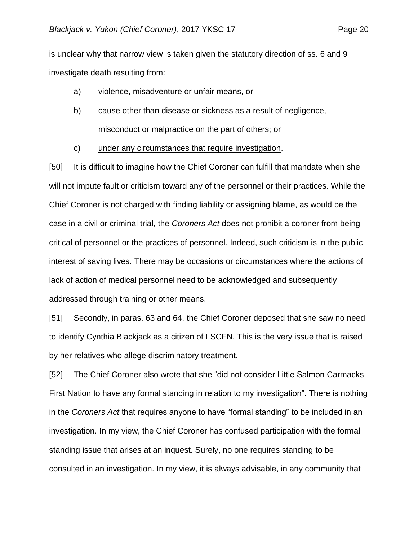is unclear why that narrow view is taken given the statutory direction of ss. 6 and 9 investigate death resulting from:

- a) violence, misadventure or unfair means, or
- b) cause other than disease or sickness as a result of negligence, misconduct or malpractice on the part of others; or
- c) under any circumstances that require investigation.

[50] It is difficult to imagine how the Chief Coroner can fulfill that mandate when she will not impute fault or criticism toward any of the personnel or their practices. While the Chief Coroner is not charged with finding liability or assigning blame, as would be the case in a civil or criminal trial, the *Coroners Act* does not prohibit a coroner from being critical of personnel or the practices of personnel. Indeed, such criticism is in the public interest of saving lives. There may be occasions or circumstances where the actions of lack of action of medical personnel need to be acknowledged and subsequently addressed through training or other means.

[51] Secondly, in paras. 63 and 64, the Chief Coroner deposed that she saw no need to identify Cynthia Blackjack as a citizen of LSCFN. This is the very issue that is raised by her relatives who allege discriminatory treatment.

[52] The Chief Coroner also wrote that she "did not consider Little Salmon Carmacks First Nation to have any formal standing in relation to my investigation". There is nothing in the *Coroners Act* that requires anyone to have "formal standing" to be included in an investigation. In my view, the Chief Coroner has confused participation with the formal standing issue that arises at an inquest. Surely, no one requires standing to be consulted in an investigation. In my view, it is always advisable, in any community that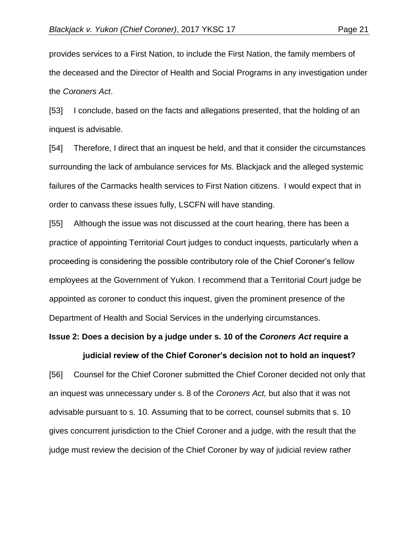provides services to a First Nation, to include the First Nation, the family members of the deceased and the Director of Health and Social Programs in any investigation under the *Coroners Act*.

[53] I conclude, based on the facts and allegations presented, that the holding of an inquest is advisable.

[54] Therefore, I direct that an inquest be held, and that it consider the circumstances surrounding the lack of ambulance services for Ms. Blackjack and the alleged systemic failures of the Carmacks health services to First Nation citizens. I would expect that in order to canvass these issues fully, LSCFN will have standing.

[55] Although the issue was not discussed at the court hearing, there has been a practice of appointing Territorial Court judges to conduct inquests, particularly when a proceeding is considering the possible contributory role of the Chief Coroner's fellow employees at the Government of Yukon. I recommend that a Territorial Court judge be appointed as coroner to conduct this inquest, given the prominent presence of the Department of Health and Social Services in the underlying circumstances.

#### **Issue 2: Does a decision by a judge under s. 10 of the** *Coroners Act* **require a**

#### **judicial review of the Chief Coroner's decision not to hold an inquest?**

[56] Counsel for the Chief Coroner submitted the Chief Coroner decided not only that an inquest was unnecessary under s. 8 of the *Coroners Act,* but also that it was not advisable pursuant to s. 10. Assuming that to be correct, counsel submits that s. 10 gives concurrent jurisdiction to the Chief Coroner and a judge, with the result that the judge must review the decision of the Chief Coroner by way of judicial review rather